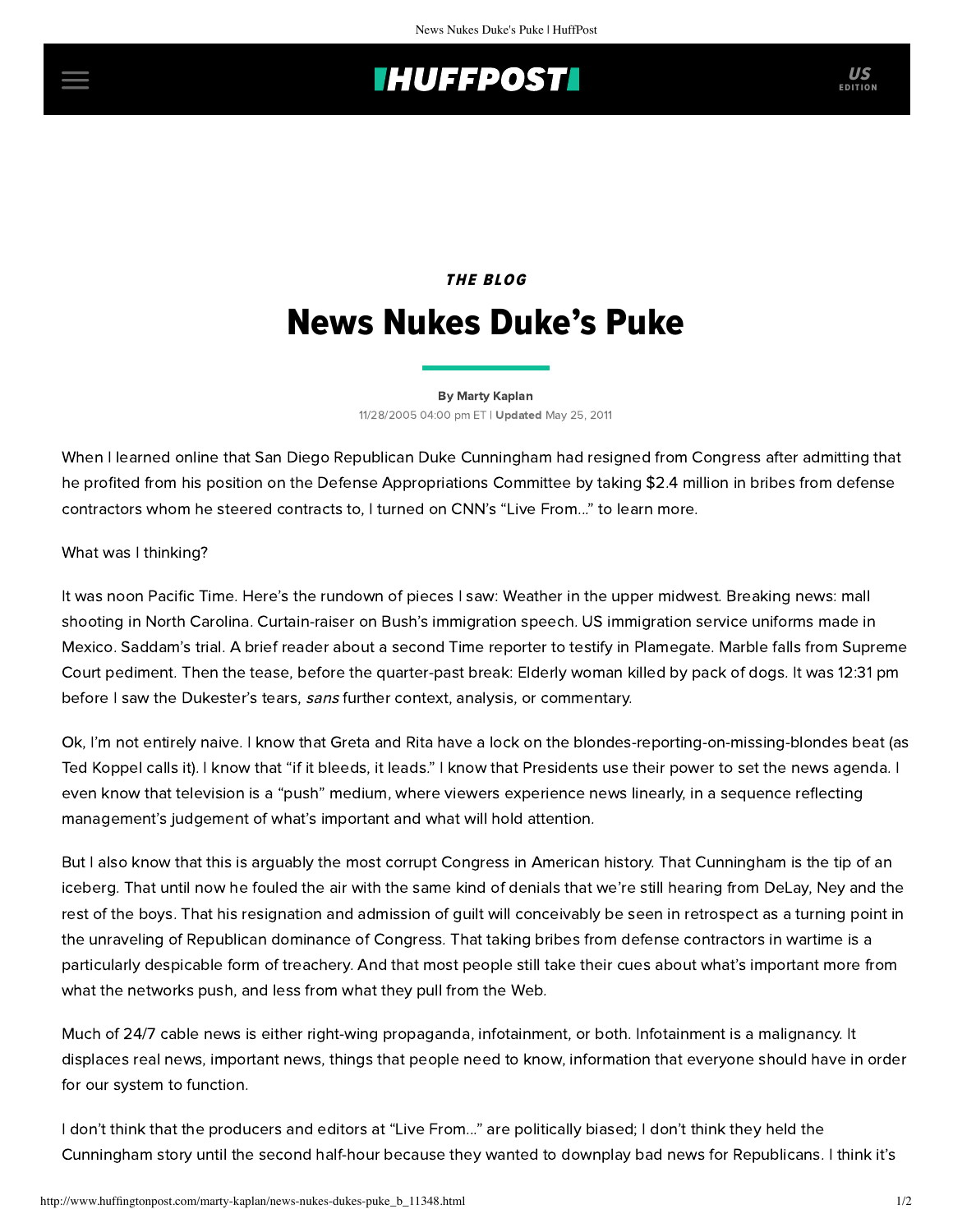## **IHUFFPOSTI** US

## THE BLOG News Nukes Duke's Puke

[By Marty Kaplan](http://www.huffingtonpost.com/author/marty-kaplan) 11/28/2005 04:00 pm ET | Updated May 25, 2011

When I learned online that San Diego Republican Duke Cunningham had resigned from Congress after admitting that he profited from his position on the Defense Appropriations Committee by taking \$2.4 million in bribes from defense contractors whom he steered contracts to, I turned on CNN's "Live From..." to learn more.

What was I thinking?

It was noon Pacific Time. Here's the rundown of pieces I saw: Weather in the upper midwest. Breaking news: mall shooting in North Carolina. Curtain-raiser on Bush's immigration speech. US immigration service uniforms made in Mexico. Saddam's trial. A brief reader about a second Time reporter to testify in Plamegate. Marble falls from Supreme Court pediment. Then the tease, before the quarter-past break: Elderly woman killed by pack of dogs. It was 12:31 pm before I saw the Dukester's tears, sans further context, analysis, or commentary.

Ok, I'm not entirely naive. I know that Greta and Rita have a lock on the [blondes-reporting-on-missing-blondes](http://newyorkmetro.com/nymetro/news/media/features/15198/index.html) beat (as Ted Koppel calls it). I know that "if it bleeds, it leads." I know that Presidents use their power to set the news agenda. I even know that television is a "push" medium, where viewers experience news linearly, in a sequence reflecting management's judgement of what's important and what will hold attention.

But I also know that this is arguably the most corrupt Congress in American history. That Cunningham is the tip of an iceberg. That until now he fouled the air with the same kind of denials that we're still hearing from DeLay, Ney and the rest of the boys. That his resignation and admission of guilt will conceivably be seen in retrospect as a turning point in the unraveling of Republican dominance of Congress. That taking bribes from defense contractors in wartime is a particularly despicable form of treachery. And that most people still take their cues about what's important more from what the networks push, and less from what they pull from the Web.

Much of 24/7 cable news is either right-wing propaganda, infotainment, or both. Infotainment is a malignancy. It displaces real news, important news, things that people need to know, information that everyone should have in order for our system to function.

I don't think that the producers and editors at "Live From..." are politically biased; I don't think they held the Cunningham story until the second half-hour because they wanted to downplay bad news for Republicans. I think it's